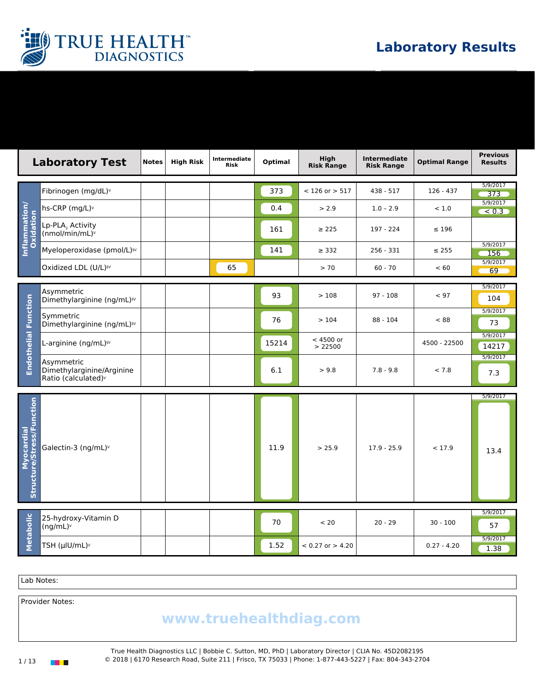

|                                         | <b>Laboratory Test</b>                                                     | <b>Notes</b> | <b>High Risk</b> | Intermediate<br><b>Risk</b> | Optimal | High<br><b>Risk Range</b> | <b>Intermediate</b><br><b>Risk Range</b> | <b>Optimal Range</b> | <b>Previous</b><br><b>Results</b> |
|-----------------------------------------|----------------------------------------------------------------------------|--------------|------------------|-----------------------------|---------|---------------------------|------------------------------------------|----------------------|-----------------------------------|
|                                         | Fibrinogen (mg/dL)v                                                        |              |                  |                             | 373     | $<$ 126 or $>$ 517        | 438 - 517                                | $126 - 437$          | 5/9/2017<br>373                   |
|                                         | hs-CRP (mg/L) <sup>v</sup>                                                 |              |                  |                             | 0.4     | > 2.9                     | $1.0 - 2.9$                              | < 1.0                | 5/9/2017<br>< 0.3                 |
| Inflammation/<br>Oxidation              | Lp-PLA, Activity<br>(nmol/min/mL)v                                         |              |                  |                             | 161     | $\geq$ 225                | 197 - 224                                | $\leq 196$           |                                   |
|                                         | Myeloperoxidase (pmol/L) <sup>5V</sup>                                     |              |                  |                             | 141     | $\geq 332$                | $256 - 331$                              | $\leq 255$           | 5/9/2017<br>156                   |
|                                         | Oxidized LDL (U/L) <sup>§V</sup>                                           |              |                  | 65                          |         | > 70                      | $60 - 70$                                | < 60                 | 5/9/2017<br>69                    |
|                                         | Asymmetric<br>Dimethylarginine (ng/mL) <sup>§v</sup>                       |              |                  |                             | 93      | >108                      | $97 - 108$                               | < 97                 | 5/9/2017<br>104                   |
| <b>Endothelial Function</b>             | Symmetric<br>Dimethylarginine (ng/mL) <sup>5V</sup>                        |              |                  |                             | 76      | >104                      | $88 - 104$                               | < 88                 | 5/9/2017<br>73                    |
|                                         | L-arginine (ng/mL) <sup>§v</sup>                                           |              |                  |                             | 15214   | $< 4500$ or<br>> 22500    |                                          | 4500 - 22500         | 5/9/2017<br>14217                 |
|                                         | Asymmetric<br>Dimethylarginine/Arginine<br>Ratio (calculated) <sup>v</sup> |              |                  |                             | 6.1     | > 9.8                     | $7.8 - 9.8$                              | < 7.8                | 5/9/2017<br>7.3                   |
| Myocardial<br>Structure/Stress/Function | Galectin-3 (ng/mL)v                                                        |              |                  |                             | 11.9    | > 25.9                    | $17.9 - 25.9$                            | < 17.9               | 5/9/2017<br>13.4                  |
| Metabolic                               | 25-hydroxy-Vitamin D<br>(ng/mL) <sup>v</sup>                               |              |                  |                             | 70      | < 20                      | $20 - 29$                                | $30 - 100$           | 5/9/2017<br>57                    |
|                                         | TSH (µIU/mL)v                                                              |              |                  |                             | 1.52    | $< 0.27$ or $> 4.20$      |                                          | $0.27 - 4.20$        | 5/9/2017<br>1.38                  |

Lab Notes:

Provider Notes:

## www.truehealthdiag.com

True Health Diagnostics LLC | Bobbie C. Sutton, MD, PhD | Laboratory Director | CLIA No. 45D2082195 1 / 13 © 2018 | 6170 Research Road, Suite 211 | Frisco, TX 75033 | Phone: 1-877-443-5227 | Fax: 804-343-2704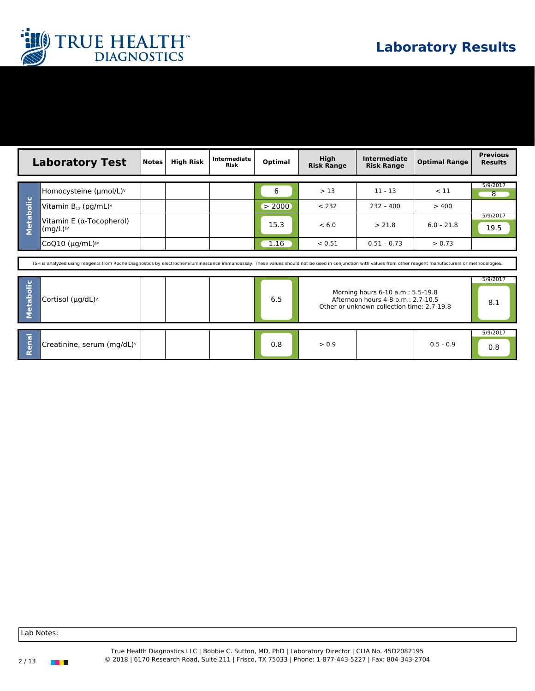

|                                                                                                                                                                                                              | <b>Laboratory Test</b> | <b>Notes</b> | <b>High Risk</b> | Intermediate<br><b>Risk</b> | Optimal             | High<br><b>Risk Range</b> | <b>Intermediate</b><br><b>Risk Range</b> | <b>Optimal Range</b>          | <b>Previous</b><br><b>Results</b> |
|--------------------------------------------------------------------------------------------------------------------------------------------------------------------------------------------------------------|------------------------|--------------|------------------|-----------------------------|---------------------|---------------------------|------------------------------------------|-------------------------------|-----------------------------------|
| Homocysteine (umol/L)v<br>$\mathbf \sigma$<br>Metaboli<br>Vitamin $B_{12}$ (pg/mL) <sup><math>\vee</math></sup><br>Vitamin E ( $\alpha$ -Tocopherol)<br>$(mq/L)^{sv}$<br>CoQ10 $(\mu q/mL)^{sv}$             |                        |              |                  |                             | 6<br>> 2000<br>15.3 | >13<br>< 232<br>< 6.0     | $11 - 13$<br>$232 - 400$<br>> 21.8       | < 11<br>> 400<br>$6.0 - 21.8$ | 5/9/2017<br>8<br>5/9/2017<br>19.5 |
|                                                                                                                                                                                                              |                        |              |                  |                             | 1.16                | < 0.51                    | $0.51 - 0.73$                            | > 0.73                        |                                   |
| TSH is analyzed using reagents from Roche Diagnostics by electrochemiluminescence immunoassay. These values should not be used in conjunction with values from other reagent manufacturers or methodologies. |                        |              |                  |                             |                     |                           |                                          |                               |                                   |
| 5/9/2017<br>Metabolic<br>Morning hours 6-10 a.m.: 5.5-19.8<br>6.5<br>Cortisol ( $\mu$ g/dL) <sup>v</sup><br>Afternoon hours 4-8 p.m.: 2.7-10.5<br>8.1<br>Other or unknown collection time: 2.7-19.8          |                        |              |                  |                             |                     |                           |                                          |                               |                                   |

|     |                                        |  |            |       |             | 5/9/201 |
|-----|----------------------------------------|--|------------|-------|-------------|---------|
| . . | Creatinine, serum (mg/dL) <sup>v</sup> |  | ∩ Ω<br>v.o | > 0.9 | $0.5 - 0.9$ | v.c     |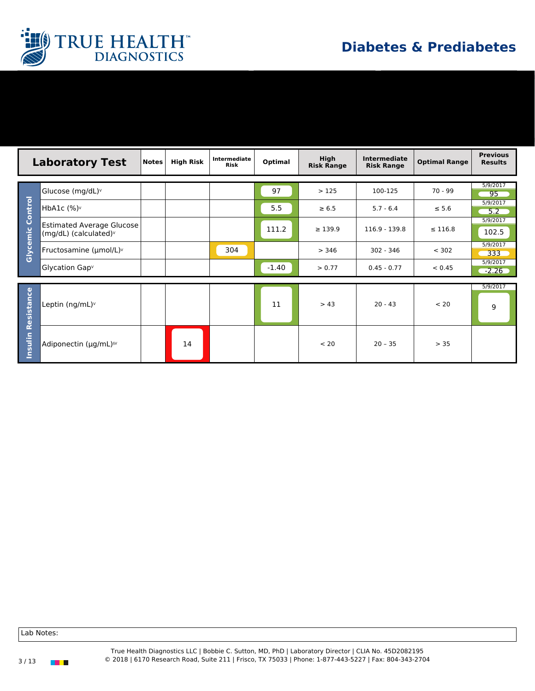

|                  | <b>Laboratory Test</b>                                    | Notes | <b>High Risk</b> | Intermediate<br><b>Risk</b> | Optimal | High<br><b>Risk Range</b> | <b>Intermediate</b><br><b>Risk Range</b> | <b>Optimal Range</b> | <b>Previous</b><br><b>Results</b> |  |
|------------------|-----------------------------------------------------------|-------|------------------|-----------------------------|---------|---------------------------|------------------------------------------|----------------------|-----------------------------------|--|
|                  |                                                           |       |                  |                             |         |                           |                                          |                      |                                   |  |
|                  | Glucose (mg/dL)v                                          |       |                  |                             | 97      | >125                      | 100-125                                  | $70 - 99$            | 5/9/2017<br>95                    |  |
|                  | HbA1c $(\%)^{\vee}$                                       |       |                  |                             | 5.5     | $\geq 6.5$                | $5.7 - 6.4$                              | $\leq 5.6$           | 5/9/2017<br>$-5.2$                |  |
| Glycemic Control | <b>Estimated Average Glucose</b><br>(mg/dL) (calculated)v |       |                  |                             | 111.2   | $\geq 139.9$              | 116.9 - 139.8                            | $\leq$ 116.8         | 5/9/2017<br>102.5                 |  |
|                  | Fructosamine (µmol/L)v                                    |       |                  | 304                         |         | > 346                     | 302 - 346                                | < 302                | 5/9/2017<br>333                   |  |
|                  | Glycation Gap <sup>v</sup>                                |       |                  |                             | $-1.40$ | > 0.77                    | $0.45 - 0.77$                            | < 0.45               | 5/9/2017<br>$-2.26$               |  |
|                  |                                                           |       |                  |                             |         |                           |                                          |                      |                                   |  |
| Resistance       | Leptin (ng/mL)v                                           |       |                  |                             | 11      | > 43                      | $20 - 43$                                | < 20                 | 5/9/2017<br>9                     |  |
| Insulin          | Adiponectin (µg/mL) <sup>§v</sup>                         |       | 14               |                             |         | < 20                      | $20 - 35$                                | > 35                 |                                   |  |

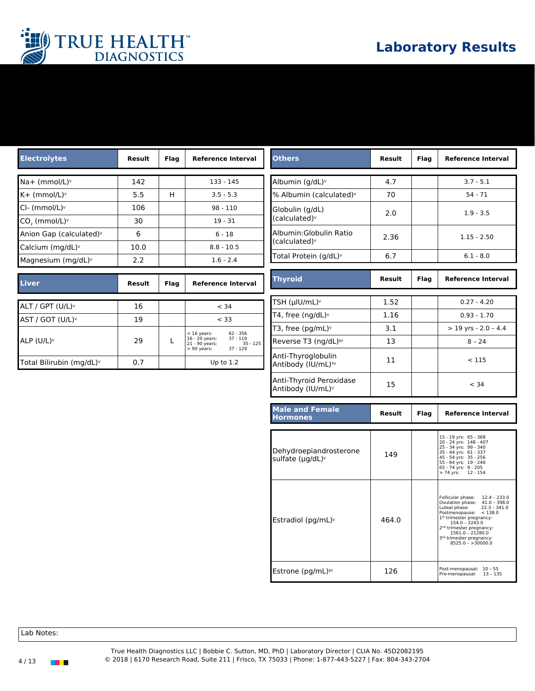

| <b>Electrolytes</b>                                          | Result   | Flag | <b>Reference Interval</b>                                                                 | <b>Others</b>                                            | Result        | Flag        | <b>Reference Interval</b>                                                                                                                                                                                                                                                                    |
|--------------------------------------------------------------|----------|------|-------------------------------------------------------------------------------------------|----------------------------------------------------------|---------------|-------------|----------------------------------------------------------------------------------------------------------------------------------------------------------------------------------------------------------------------------------------------------------------------------------------------|
| $Na+$ (mmol/L) $v$                                           | 142      |      | $133 - 145$                                                                               | Albumin (g/dL) <sup>v</sup>                              | 4.7           |             | $3.7 - 5.1$                                                                                                                                                                                                                                                                                  |
| K+ (mmol/L) <sup>v</sup>                                     | 5.5      | H    | $3.5 - 5.3$                                                                               | % Albumin (calculated) <sup>v</sup>                      | 70            |             | $54 - 71$                                                                                                                                                                                                                                                                                    |
| Cl- (mmol/L) <sup>v</sup>                                    | 106      |      | $98 - 110$                                                                                | Globulin (g/dL)                                          | 2.0           |             | $1.9 - 3.5$                                                                                                                                                                                                                                                                                  |
| $CO2$ (mmol/L) <sup>v</sup>                                  | 30       |      | $19 - 31$                                                                                 | (calculated) <sup>v</sup>                                |               |             |                                                                                                                                                                                                                                                                                              |
| Anion Gap (calculated) <sup>v</sup>                          | 6        |      | $6 - 18$                                                                                  | Albumin: Globulin Ratio                                  | 2.36          |             | $1.15 - 2.50$                                                                                                                                                                                                                                                                                |
| Calcium (mg/dL)v                                             | 10.0     |      | $8.8 - 10.5$                                                                              | (calculated) <sup>v</sup>                                |               |             |                                                                                                                                                                                                                                                                                              |
| Magnesium (mg/dL) $\vee$                                     | 2.2      |      | $1.6 - 2.4$                                                                               | Total Protein (g/dL) <sup>v</sup>                        | 6.7           |             | $6.1 - 8.0$                                                                                                                                                                                                                                                                                  |
| <b>Liver</b>                                                 | Result   | Flag | <b>Reference Interval</b>                                                                 | <b>Thyroid</b>                                           | <b>Result</b> | Flag        | <b>Reference Interval</b>                                                                                                                                                                                                                                                                    |
|                                                              |          |      |                                                                                           | TSH (µlU/mL)v                                            | 1.52          |             | $0.27 - 4.20$                                                                                                                                                                                                                                                                                |
| ALT / GPT (U/L) <sup>v</sup><br>AST / GOT (U/L) <sup>v</sup> | 16<br>19 |      | < 34<br>< 33                                                                              | T4, free $(nq/dL)$                                       | 1.16          |             | $0.93 - 1.70$                                                                                                                                                                                                                                                                                |
|                                                              |          |      |                                                                                           | T3, free (pg/mL) $\vee$                                  | 3.1           |             | $>$ 19 yrs - 2.0 - 4.4                                                                                                                                                                                                                                                                       |
| ALP (U/L) <sup>v</sup>                                       | 29       | L    | $< 16$ years:<br>62 - 356<br>16 - 20 years:<br>21 - 90 years:<br>$37 - 119$<br>$35 - 125$ | Reverse T3 (ng/dL) <sup>§v</sup>                         | 13            |             | $8 - 24$                                                                                                                                                                                                                                                                                     |
| Total Bilirubin (mg/dL) <sup>v</sup>                         | 0.7      |      | $37 - 129$<br>$> 90$ years:<br>Up to $1.2$                                                | Anti-Thyroglobulin<br>Antibody (IU/mL) <sup>™</sup>      | 11            |             | < 115                                                                                                                                                                                                                                                                                        |
|                                                              |          |      |                                                                                           | Anti-Thyroid Peroxidase<br>Antibody (IU/mL) <sup>v</sup> | 15            |             | < 34                                                                                                                                                                                                                                                                                         |
|                                                              |          |      |                                                                                           | <b>Male and Female</b><br><b>Hormones</b>                | Result        | <b>Flag</b> | <b>Reference Interval</b>                                                                                                                                                                                                                                                                    |
|                                                              |          |      |                                                                                           | Dehydroepiandrosterone<br>sulfate $(\mu q/dL)$           | 149           |             | 15 - 19 yrs: 65 - 368<br>20 - 24 yrs: 148 - 407<br>25 - 34 yrs: 99 - 340<br>35 - 44 yrs: 61 - 337<br>45 - 54 yrs: 35 - 256<br>55 - 64 yrs: 19 - 246<br>65 - 74 yrs: 9 - 205<br>> 74 yrs: 12 - 154                                                                                            |
|                                                              |          |      |                                                                                           | Estradiol (pg/mL) $\vee$                                 | 464.0         |             | Follicular phase: 12.4 - 233.0<br>Ovulation phase: 41.0 - 398.0<br>Luteal phase:<br>$22.3 - 341.0$<br>Postmenopause: < 138.0<br>1st trimester pregnancy:<br>$154.0 - 3243.0$<br>2 <sup>nd</sup> trimester pregnancy:<br>$1561.0 - 21280.0$<br>3rd trimester pregnancy:<br>$8525.0 - 30000.0$ |
|                                                              |          |      |                                                                                           | Estrone (pg/mL) <sup>§v</sup>                            | 126           |             | Post-menopausal: 10 - 55<br>Pre-menopausal: 13 - 135                                                                                                                                                                                                                                         |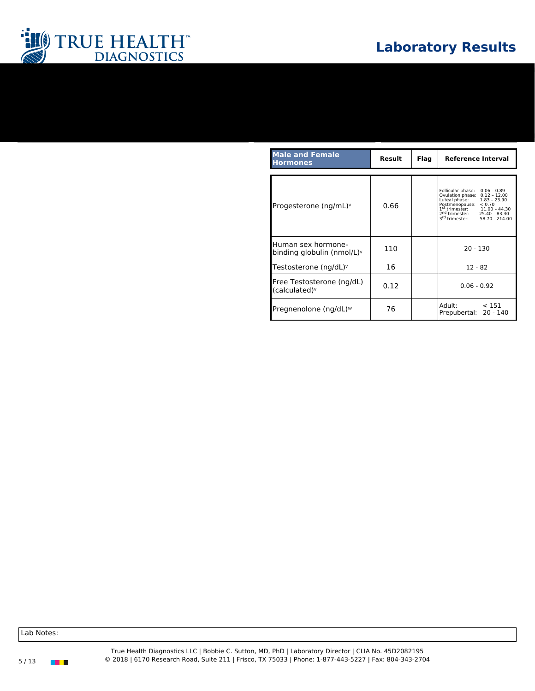

| <b>Male and Female</b><br><b>Hormones</b>              | Result | Flag | <b>Reference Interval</b>                                                                                                                                                                                                                                   |
|--------------------------------------------------------|--------|------|-------------------------------------------------------------------------------------------------------------------------------------------------------------------------------------------------------------------------------------------------------------|
|                                                        |        |      |                                                                                                                                                                                                                                                             |
| Progesterone (ng/mL) $\vee$                            | 0.66   |      | Follicular phase:<br>$0.06 - 0.89$<br>Ovulation phase:<br>$0.12 - 12.00$<br>$1.83 - 23.90$<br>Luteal phase:<br>Postmenopause:<br>< 0.70<br>$1st$ trimester:<br>$2nd$ trimester:<br>$3rd$ trimester:<br>$11.00 - 44.30$<br>$25.40 - 83.30$<br>58.70 - 214.00 |
| Human sex hormone-<br>binding globulin (nmol/L) $\vee$ | 110    |      | $20 - 130$                                                                                                                                                                                                                                                  |
| Testosterone (ng/dL) $\vee$                            | 16     |      | $12 - 82$                                                                                                                                                                                                                                                   |
| Free Testosterone (ng/dL)<br>(calculated) <sup>v</sup> | 0.12   |      | $0.06 - 0.92$                                                                                                                                                                                                                                               |
| Pregnenolone (ng/dL) <sup>§v</sup>                     | 76     |      | Adult:<br>< 151<br>Prepubertal: 20 - 140                                                                                                                                                                                                                    |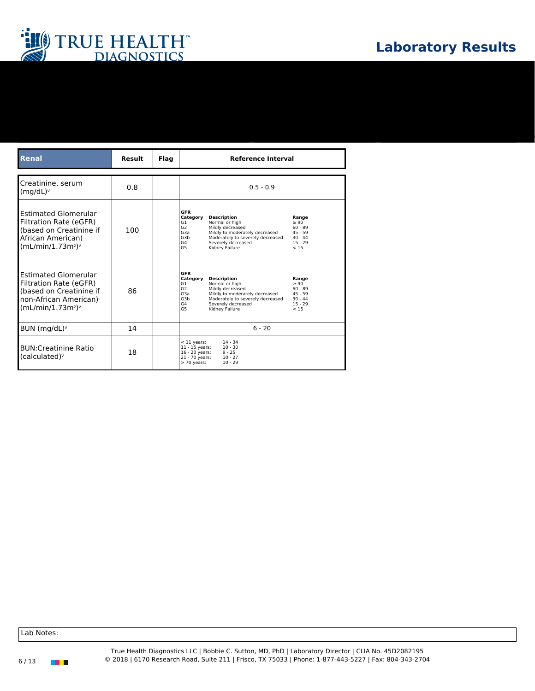

| <b>Renal</b>                                                                                                                    | <b>Result</b> | Flag | <b>Reference Interval</b>                                                                                                                                                                                                                                                                                                                                     |
|---------------------------------------------------------------------------------------------------------------------------------|---------------|------|---------------------------------------------------------------------------------------------------------------------------------------------------------------------------------------------------------------------------------------------------------------------------------------------------------------------------------------------------------------|
|                                                                                                                                 |               |      |                                                                                                                                                                                                                                                                                                                                                               |
| Creatinine, serum<br>(mq/dL) <sup>v</sup>                                                                                       | 0.8           |      | $0.5 - 0.9$                                                                                                                                                                                                                                                                                                                                                   |
| <b>Estimated Glomerular</b><br>Filtration Rate (eGFR)<br>(based on Creatinine if<br>African American)<br>$(mL/min/1.73m2)v$     | 100           |      | <b>GFR</b><br><b>Description</b><br>Category<br>Range<br>Normal or high<br>G1<br>$\geq 90$<br>Mildly decreased<br>G <sub>2</sub><br>$60 - 89$<br>G <sub>3</sub> a<br>Mildly to moderately decreased<br>$45 - 59$<br>G3h<br>Moderately to severely decreased<br>$30 - 44$<br>G4<br>$15 - 29$<br>Severely decreased<br>G <sub>5</sub><br>Kidney Failure<br>< 15 |
| <b>Estimated Glomerular</b><br>Filtration Rate (eGFR)<br>(based on Creatinine if<br>non-African American)<br>$(mL/min/1.73m2)v$ | 86            |      | <b>GFR</b><br>Category<br><b>Description</b><br>Range<br>Normal or high<br>> 90<br>G1<br>G2<br>$60 - 89$<br>Mildly decreased<br>G <sub>3</sub> a<br>Mildly to moderately decreased<br>$45 - 59$<br>G3b<br>Moderately to severely decreased<br>$30 - 44$<br>$15 - 29$<br>G4<br>Severely decreased<br>G <sub>5</sub><br>Kidney Failure<br>< 15                  |
| BUN (mg/dL) <sup>v</sup>                                                                                                        | 14            |      | $6 - 20$                                                                                                                                                                                                                                                                                                                                                      |
| <b>BUN:Creatinine Ratio</b><br>(calculated) <sup>v</sup>                                                                        | 18            |      | $14 - 34$<br>$<$ 11 years:<br>$10 - 30$<br>$11 - 15$ years:<br>16 - 20 years:<br>$9 - 25$<br>21 - 70 years:<br>$10 - 27$<br>$10 - 29$<br>$> 70$ years:                                                                                                                                                                                                        |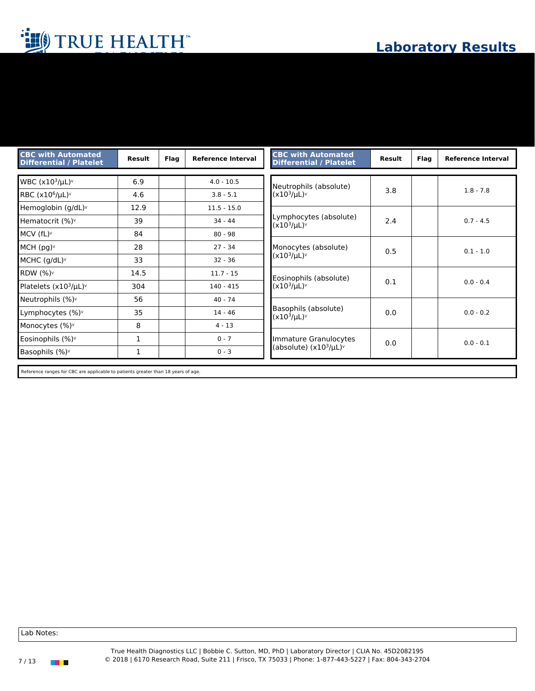| <b>CBC with Automated</b><br><b>Differential / Platelet</b> | Result       | <b>Flag</b> | <b>Reference Interval</b> | <b>CBC with Automated</b><br><b>Differential / Platelet</b> | Result | <b>Flag</b> | <b>Reference Interval</b> |
|-------------------------------------------------------------|--------------|-------------|---------------------------|-------------------------------------------------------------|--------|-------------|---------------------------|
| WBC $(x10^3/\mu L)v$                                        | 6.9          |             | $4.0 - 10.5$              |                                                             |        |             |                           |
| RBC $(x10^6/\mu L)v$                                        | 4.6          |             | $3.8 - 5.1$               | Neutrophils (absolute)<br>$(x10^3/\mu L)$                   | 3.8    |             | $1.8 - 7.8$               |
| Hemoglobin (g/dL)v                                          | 12.9         |             | $11.5 - 15.0$             |                                                             |        |             |                           |
| Hematocrit (%) <sup>v</sup>                                 | 39           |             | $34 - 44$                 | Lymphocytes (absolute)<br>$(x10^3/\mu L)^v$                 | 2.4    |             | $0.7 - 4.5$               |
| MCV (fL) <sup>v</sup>                                       | 84           |             | $80 - 98$                 |                                                             |        |             |                           |
| $MCH$ (pg) $\vee$                                           | 28           |             | $27 - 34$                 | Monocytes (absolute)                                        | 0.5    |             | $0.1 - 1.0$               |
| MCHC $(g/dL)$                                               | 33           |             | $32 - 36$                 | $(x10^3/\mu L)$                                             |        |             |                           |
| <b>RDW (%)</b> <sup>v</sup>                                 | 14.5         |             | $11.7 - 15$               | Eosinophils (absolute)                                      |        |             |                           |
| Platelets $(x10^3/\mu L)$                                   | 304          |             | $140 - 415$               | $(x10^3/\mu L)$                                             | 0.1    |             | $0.0 - 0.4$               |
| Neutrophils (%) <sup>v</sup>                                | 56           |             | $40 - 74$                 |                                                             |        |             |                           |
| Lymphocytes (%) <sup>v</sup>                                | 35           |             | $14 - 46$                 | Basophils (absolute)<br>$(x10^3/\mu L)^v$                   | 0.0    |             | $0.0 - 0.2$               |
| Monocytes (%)v                                              | 8            |             | $4 - 13$                  |                                                             |        |             |                           |
| Eosinophils (%) <sup>v</sup>                                | 1            |             | $0 - 7$                   | Immature Granulocytes                                       | 0.0    |             | $0.0 - 0.1$               |
| Basophils (%)v                                              | $\mathbf{1}$ |             | $0 - 3$                   | (absolute) $(x10^3/\mu L)$                                  |        |             |                           |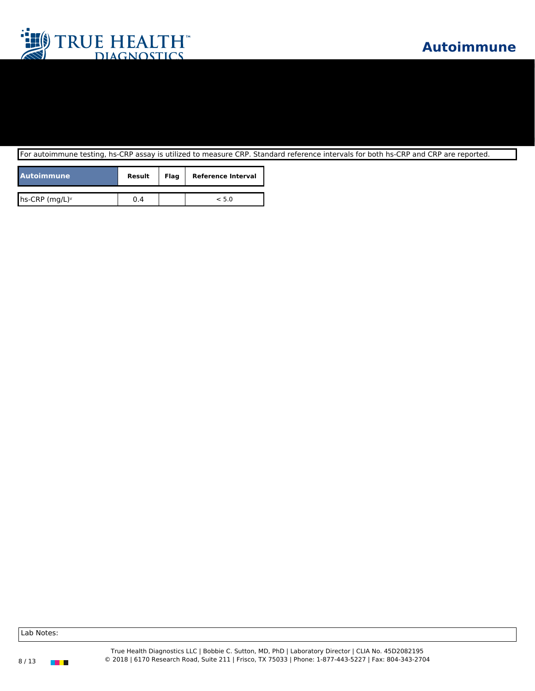

For autoimmune testing, hs-CRP assay is utilized to measure CRP. Standard reference intervals for both hs-CRP and CRP are reported.

| <b>Autoimmune</b> | <b>Result</b> | Flag | <b>Reference Interval</b> |
|-------------------|---------------|------|---------------------------|
|                   |               |      |                           |
| hs-CRP $(mg/L)^v$ | 0.4           |      | < 5.0                     |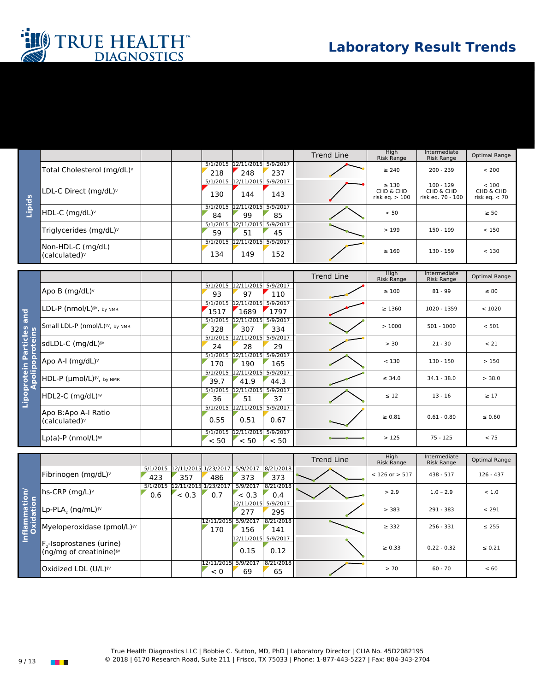



|        |                                                  |                |                            |                 | <b>Trend Line</b> | Hiah<br><b>Risk Range</b>                  | Intermediate<br><b>Risk Range</b>             | Optimal Range                         |  |
|--------|--------------------------------------------------|----------------|----------------------------|-----------------|-------------------|--------------------------------------------|-----------------------------------------------|---------------------------------------|--|
|        | Total Cholesterol (mg/dL) <sup>v</sup>           | 218            | 5/1/2015 12/11/2015<br>248 | 5/9/2017<br>237 |                   | $\geq 240$                                 | $200 - 239$                                   | < 200                                 |  |
|        | LDL-C Direct (mg/dL) $\vee$                      | 130            | 5/1/2015 12/11/2015<br>144 | 5/9/2017<br>143 |                   | $\geq 130$<br>CHD & CHD<br>risk eq. $>100$ | $100 - 129$<br>CHD & CHD<br>risk eg. 70 - 100 | < 100<br>CHD & CHD<br>risk eq. $< 70$ |  |
| Lipids | HDL-C (mg/dL) <sup>v</sup>                       | 5/1/2015<br>84 | 12/11/2015<br>99           | 5/9/2017<br>85  |                   | < 50                                       |                                               | $\geq 50$                             |  |
|        | Triglycerides ( $mq/dL$ )                        | 59             | 5/1/2015 12/11/2015<br>51  | 5/9/2017<br>45  |                   | >199                                       | $150 - 199$                                   | < 150                                 |  |
|        | Non-HDL-C (mg/dL)<br>$(calculated)$ <sup>v</sup> | 134            | 5/1/2015 12/11/2015<br>149 | 5/9/2017<br>152 |                   | $\geq 160$                                 | $130 - 159$                                   | < 130                                 |  |

|                           |                                                  |                  |                             |                  | <b>Trend Line</b> | High<br><b>Risk Range</b> | Intermediate<br>Risk Range | Optimal Range |
|---------------------------|--------------------------------------------------|------------------|-----------------------------|------------------|-------------------|---------------------------|----------------------------|---------------|
| and                       | Apo B (mg/dL) <sup>v</sup>                       | 93               | 5/1/2015 12/11/2015<br>97   | 5/9/2017<br>110  |                   | $\geq 100$                | $81 - 99$                  | $\leq 80$     |
|                           | LDL-P (nmol/L) <sup>§V</sup> , by NMR            | 5/1/2015<br>1517 | 12/11/2015<br>1689          | 5/9/2017<br>1797 |                   | $\geq 1360$               | 1020 - 1359                | < 1020        |
|                           | Small LDL-P (nmol/L) <sup>§V</sup> , by NMR      | 5/1/2015<br>328  | 12/11/2015<br>307           | 5/9/2017<br>334  |                   | >1000                     | $501 - 1000$               | < 501         |
| articles<br>roteins       | sdLDL-C (mg/dL) <sup>§V</sup>                    | 5/1/2015<br>24   | 12/11/2015<br>28            | 5/9/2017<br>29   |                   | > 30                      | $21 - 30$                  | < 21          |
|                           | Apo A-I (mg/dL) <sup>v</sup>                     | 5/1/2015<br>170  | 12/11/2015<br>190           | 5/9/2017<br>165  |                   | < 130                     | $130 - 150$                | >150          |
|                           | HDL-P (µmol/L) <sup>§V</sup> , by NMR            | 39.7             | 5/1/2015 12/11/2015<br>41.9 | 5/9/2017<br>44.3 |                   | $\leq$ 34.0               | $34.1 - 38.0$              | > 38.0        |
| Lipoprotein P<br>Apolipop | HDL2-C (mg/dL) <sup>§V</sup>                     | 36               | 5/1/2015 12/11/2015<br>51   | 5/9/2017<br>37   |                   | $\leq 12$                 | $13 - 16$                  | $\geq 17$     |
|                           | Apo B:Apo A-I Ratio<br>(calculated) <sup>v</sup> | 0.55             | 5/1/2015 12/11/2015<br>0.51 | 5/9/2017<br>0.67 |                   | $\ge 0.81$                | $0.61 - 0.80$              | $\leq 0.60$   |
|                           | $Lp(a)-P$ (nmol/L) <sup>§V</sup>                 | < 50             | 5/1/2015 12/11/2015<br>< 50 | 5/9/2017<br>< 50 |                   | >125                      | $75 - 125$                 | < 75          |

|                               |                                                                                          |                 |                             |                   |                    |                  | <b>Trend Line</b> | High<br><b>Risk Range</b> | Intermediate<br><b>Risk Range</b> | Optimal Range |
|-------------------------------|------------------------------------------------------------------------------------------|-----------------|-----------------------------|-------------------|--------------------|------------------|-------------------|---------------------------|-----------------------------------|---------------|
|                               | Fibrinogen (mg/dL) $\vee$                                                                | 5/1/2015<br>423 | 12/11/2015 1/23/2017<br>357 | 486               | 5/9/2017<br>373    | 8/21/2018<br>373 |                   | $< 126$ or $> 517$        | $438 - 517$                       | $126 - 437$   |
| Ē.<br>$\circ$ $\epsilon$      | hs-CRP $(mq/L)v$                                                                         | 5/1/2015<br>0.6 | 12/11/2015<br>< 0.3         | 1/23/2017<br>0.7  | 5/9/2017<br>< 0.3  | 8/21/2018<br>0.4 |                   | > 2.9                     | $1.0 - 2.9$                       | < 1.0         |
| mmati<br>.idation             | Lp-PLA <sub>2</sub> (ng/mL) <sup>§v</sup>                                                |                 |                             |                   | 12/11/2015<br>277  | 5/9/2017<br>295  |                   | > 383                     | $291 - 383$                       | < 291         |
| $\frac{1}{10}$ $\frac{1}{10}$ | Myeloperoxidase (pmol/L) <sup>§v</sup>                                                   |                 |                             | 12/11/2015<br>170 | 5/9/2017<br>156    | 8/21/2018<br>141 |                   | $\geq$ 332                | $256 - 331$                       | $\leq$ 255    |
| Ξ                             | F <sub>2</sub> -Isoprostanes (urine)<br>(ng/mg of creatinine) <sup>§<math>V</math></sup> |                 |                             |                   | 12/11/2015<br>0.15 | 5/9/2017<br>0.12 |                   | $\ge 0.33$                | $0.22 - 0.32$                     | $\leq 0.21$   |
|                               | Oxidized LDL (U/L) <sup>§V</sup>                                                         |                 |                             | 12/11/2015<br>< 0 | 5/9/2017<br>69     | 8/21/2018<br>65  |                   | > 70                      | $60 - 70$                         | < 60          |

True Health Diagnostics LLC | Bobbie C. Sutton, MD, PhD | Laboratory Director | CLIA No. 45D2082195 9 / 13 © 2018 | 6170 Research Road, Suite 211 | Frisco, TX 75033 | Phone: 1-877-443-5227 | Fax: 804-343-2704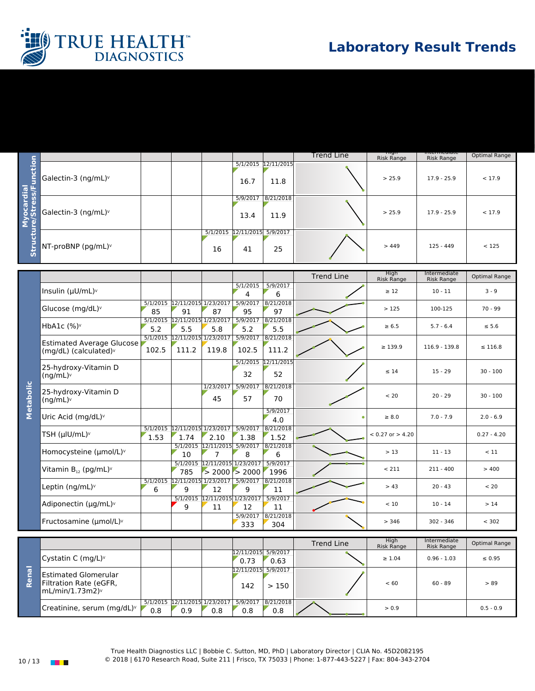

|                                     |                                 |  |    |                                    |                             | Trend Line | <u>ingul</u><br><b>Risk Range</b> | mtermeurate<br><b>Risk Range</b> | Optimal Range |
|-------------------------------------|---------------------------------|--|----|------------------------------------|-----------------------------|------------|-----------------------------------|----------------------------------|---------------|
| σΨ<br>-<br>ប៉ូ ដូ<br>o ចំ<br>$\sim$ | Galectin-3 (ng/mL) $v$          |  |    | 16.7                               | 5/1/2015 12/11/2015<br>11.8 |            | > 25.9                            | $17.9 - 25.9$                    | < 17.9        |
|                                     | Galectin-3 (ng/mL) <sup>v</sup> |  |    | 5/9/2017<br>13.4                   | 8/21/2018<br>11.9           |            | > 25.9                            | $17.9 - 25.9$                    | < 17.9        |
| Stru                                | NT-proBNP (pg/mL)v              |  | 16 | 5/1/2015 12/11/2015 5/9/2017<br>41 | 25                          |            | >449                              | $125 - 449$                      | < 125         |

|           |                                                                                       |       |                                              |                                                |                             |                           | <b>Trend Line</b> | High<br><b>Risk Range</b> | Intermediate<br>Risk Range | Optimal Range |
|-----------|---------------------------------------------------------------------------------------|-------|----------------------------------------------|------------------------------------------------|-----------------------------|---------------------------|-------------------|---------------------------|----------------------------|---------------|
| Metabolic | Insulin $(\mu U/mL)^{\vee}$                                                           |       |                                              |                                                | 5/1/2015<br>4               | 5/9/2017<br>6             |                   | $\geq 12$                 | $10 - 11$                  | $3 - 9$       |
|           | Glucose (mg/dL)v                                                                      | 85    | 5/1/2015 12/11/2015 1/23/2017 5/9/2017<br>91 | 87                                             | 95                          | 8/21/2018<br>97           |                   | >125                      | 100-125                    | $70 - 99$     |
|           | HbA1c $(%)$                                                                           | 5.2   | 5/1/2015 12/11/2015 1/23/2017<br>5.5         | 5.8                                            | 5/9/2017<br>5.2             | 8/21/2018<br>5.5          |                   | $\geq 6.5$                | $5.7 - 6.4$                | $\leq 5.6$    |
|           | <b>Estimated Average Glucose</b><br>(mg/dL) (calculated)v                             | 102.5 | 5/1/2015 12/11/2015 1/23/2017<br>111.2       | 119.8                                          | 5/9/2017<br>102.5           | 8/21/2018<br>111.2        |                   | $\geq 139.9$              | 116.9 - 139.8              | $\leq$ 116.8  |
|           | 25-hydroxy-Vitamin D<br>$(ng/mL)^v$                                                   |       |                                              |                                                | 32                          | 5/1/2015 12/11/2015<br>52 |                   | $\leq 14$                 | $15 - 29$                  | $30 - 100$    |
|           | 25-hydroxy-Vitamin D<br>(ng/mL)                                                       |       |                                              | 1/23/2017<br>45                                | 5/9/2017<br>57              | 8/21/2018<br>70           |                   | < 20                      | $20 - 29$                  | $30 - 100$    |
|           | Uric Acid (mg/dL)v                                                                    |       |                                              |                                                |                             | 5/9/2017<br>4.0           | ٠                 | $\geq 8.0$                | $7.0 - 7.9$                | $2.0 - 6.9$   |
|           | TSH (µlU/mL)v                                                                         | 1.53  | 5/1/2015 12/11/2015 1/23/2017<br>1.74        | 2.10                                           | 5/9/2017<br>1.38            | 8/21/2018<br>1.52         |                   | $< 0.27$ or $> 4.20$      |                            | $0.27 - 4.20$ |
|           | Homocysteine (umol/L) <sup>v</sup>                                                    |       | 10                                           | 5/1/2015 12/11/2015 5/9/2017<br>$\overline{7}$ | 8                           | 8/21/2018<br>6            |                   | > 13                      | $11 - 13$                  | < 11          |
|           | Vitamin B <sub>12</sub> (pg/mL) <sup>v</sup>                                          |       | 5/1/2015<br>785                              | $>$ 2000 $>$ 2000                              | 12/11/2015 1/23/2017        | 5/9/2017<br>1996          |                   | < 211                     | $211 - 400$                | >400          |
|           | Leptin ( $nq/mL$ )                                                                    | 6     | 5/1/2015 12/11/2015 1/23/2017<br>9           | 12                                             | 5/9/2017<br>9               | 8/21/2018<br>11           |                   | > 43                      | $20 - 43$                  | < 20          |
|           | Adiponectin ( $\mu$ g/mL) <sup>v</sup>                                                |       | 5/1/2015<br>9                                | 12/11/2015 1/23/2017<br>11                     | 12                          | 5/9/2017<br>11            |                   | < 10                      | $10 - 14$                  | >14           |
|           | Fructosamine ( $\mu$ mol/L) $\vee$                                                    |       |                                              |                                                | 5/9/2017<br>333             | 8/21/2018<br>304          |                   | > 346                     | 302 - 346                  | < 302         |
|           |                                                                                       |       |                                              |                                                |                             |                           |                   |                           |                            |               |
|           |                                                                                       |       |                                              |                                                |                             |                           | <b>Trend Line</b> | High<br><b>Risk Range</b> | Intermediate<br>Risk Range | Optimal Range |
|           | Cystatin C (mg/L) $\vee$                                                              |       |                                              |                                                | 12/11/2015 5/9/2017<br>0.73 | 0.63                      |                   | $\geq 1.04$               | $0.96 - 1.03$              | $\leq 0.95$   |
| Renal     | <b>Estimated Glomerular</b><br>Filtration Rate (eGFR,<br>$mL/min/1.73m2$ <sup>y</sup> |       |                                              |                                                | 12/11/2015 5/9/2017<br>142  | >150                      |                   | < 60                      | $60 - 89$                  | > 89          |



8/21/2018

 $0.8$   $\sim$  0.5 - 0.9 0.5 - 0.9

5/1/2015 12/11/2015 1/23/2017

0.9

0.8

5/9/2017 0.8

0.8

Creatinine, serum (mg/dL)<sup>v</sup>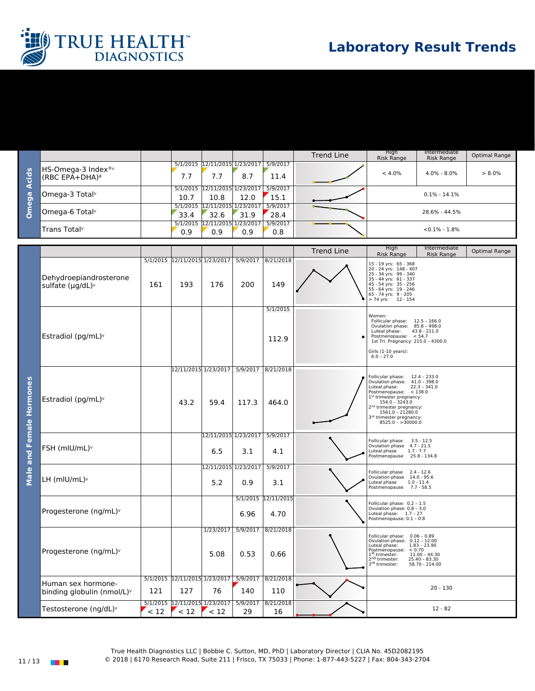

|                                  |                                                    |      |                                       |      |                  | <b>Trend Line</b> | High<br>Risk Range | Intermediate<br><b>Risk Range</b> | Optimal Range |
|----------------------------------|----------------------------------------------------|------|---------------------------------------|------|------------------|-------------------|--------------------|-----------------------------------|---------------|
| <u>ids</u><br>la<br>G<br>Q)<br>O | HS-Omega-3 Index <sup>®v</sup><br>$(RBC EPA+DHA)a$ | 7.7  | 5/1/2015 12/11/2015 1/23/2017<br>7.7  | 8.7  | 5/9/2017<br>11.4 |                   | $< 4.0\%$          | $4.0\% - 8.0\%$                   | $> 8.0\%$     |
|                                  | Omega-3 Total <sup>v</sup>                         | 10.7 | 5/1/2015 12/11/2015 1/23/2017<br>10.8 | 12.0 | 5/9/2017<br>15.1 |                   |                    | $0.1\% - 14.1\%$                  |               |
|                                  | Omega-6 Total <sup>v</sup>                         | 33.4 | 5/1/2015 12/11/2015 1/23/2017<br>32.6 | 31.9 | 5/9/2017<br>28.4 |                   |                    | 28.6% - 44.5%                     |               |
|                                  | Trans Total <sup>v</sup>                           | 0.9  | 5/1/2015 12/11/2015 1/23/2017<br>0.9  | 0.9  | 5/9/2017<br>0.8  |                   |                    | $< 0.1\% - 1.8\%$                 |               |

|                          |                                                  |      |                                        |                                                        |                  |                             | <b>Trend Line</b> | High<br><b>Risk Range</b>                                                                                                                                                                                                                                                   | Intermediate<br><b>Risk Range</b>                                      | Optimal Range |
|--------------------------|--------------------------------------------------|------|----------------------------------------|--------------------------------------------------------|------------------|-----------------------------|-------------------|-----------------------------------------------------------------------------------------------------------------------------------------------------------------------------------------------------------------------------------------------------------------------------|------------------------------------------------------------------------|---------------|
| Male and Female Hormones | Dehydroepiandrosterone<br>sulfate (µg/dL)v       | 161  | 193                                    | 5/1/2015 12/11/2015 1/23/2017<br>176                   | 5/9/2017<br>200  | 8/21/2018<br>149            |                   | 15 - 19 yrs: 65 - 368<br>20 - 24 yrs: 148 - 407<br>25 - 34 yrs: 99 - 340<br>35 - 44 yrs: 61 - 337<br>45 - 54 yrs: 35 - 256<br>55 - 64 yrs: 19 - 246<br>65 - 74 yrs: 9 - 205<br>> 74 yrs: 12 - 154                                                                           |                                                                        |               |
|                          | Estradiol (pg/mL)v                               |      |                                        |                                                        |                  | 5/1/2015<br>112.9           |                   | Women:<br>Follicular phase: 12.5 - 166.0<br>Ovulation phase: 85.8 - 498.0<br>Luteal phase:<br>Postmenopause: $< 54.7$<br>1st Tri. Pregnancy: 215.0 - 4300.0<br>Girls (1-10 years):<br>$6.0 - 27.0$                                                                          | $43.8 - 211.0$                                                         |               |
|                          | Estradiol (pg/mL) <sup>v</sup>                   |      | 43.2                                   | 12/11/2015 1/23/2017 5/9/2017<br>59.4                  | 117.3            | 8/21/2018<br>464.0          |                   | Follicular phase: 12.4 - 233.0<br>Ovulation phase: 41.0 - 398.0<br>Luteal phase:<br>Postmenopause: $<$ 138.0<br>1st trimester pregnancy:<br>$154.0 - 3243.0$<br>2 <sup>nd</sup> trimester pregnancy:<br>1561.0 - 21280.0<br>3rd trimester pregnancy:<br>$8525.0 - >30000.0$ | $22.3 - 341.0$                                                         |               |
|                          | FSH (mlU/mL) <sup>v</sup>                        |      |                                        | 12/11/2015 1/23/2017 5/9/2017<br>6.5                   | 3.1              | 4.1                         |                   | Follicular phase 3.5 - 12.5<br>Ovulation phase 4.7 - 21.5<br>Luteal phase<br>$1.7 - 7.7$<br>Postmenopause 25.8 - 134.8                                                                                                                                                      |                                                                        |               |
|                          | LH (mlU/mL) <sup>v</sup>                         |      |                                        | 12/11/2015 1/23/2017<br>5.2                            | 0.9              | 5/9/2017<br>3.1             |                   | Follicular phase 2.4 - 12.6<br>Ovulation phase 14.0 - 95.6<br>Luteal phase<br>$1.0 - 11.4$<br>Postmenopause 7.7 - 58.5                                                                                                                                                      |                                                                        |               |
|                          | Progesterone (ng/mL)v                            |      |                                        |                                                        | 6.96             | 5/1/2015 12/11/2015<br>4.70 |                   | Follicular phase: 0.2 - 1.5<br>Ovulation phase: 0.8 - 3.0<br>Luteal phase: 1.7 - 27<br>Postmenopause: 0.1 - 0.8                                                                                                                                                             |                                                                        |               |
|                          | Progesterone (ng/mL) <sup>v</sup>                |      |                                        | 1/23/2017<br>5.08                                      | 5/9/2017<br>0.53 | 8/21/2018<br>0.66           |                   | Follicular phase: 0.06 - 0.89<br>Ovulation phase: 0.12 - 12.00<br>Luteal phase:<br>Postmenopause: < 0.70<br>1 <sup>st</sup> trimester:<br>2 <sup>nd</sup> trimester:<br>3rd trimester:                                                                                      | $1.83 - 23.90$<br>$11.00 - 44.30$<br>$25.40 - 83.30$<br>58.70 - 214.00 |               |
|                          | Human sex hormone-<br>binding globulin (nmol/L)v | 121  | 127                                    | 5/1/2015 12/11/2015 1/23/2017 5/9/2017 8/21/2018<br>76 | 140              | 110                         |                   |                                                                                                                                                                                                                                                                             | $20 - 130$                                                             |               |
|                          | Testosterone (ng/dL)v                            | < 12 | 5/1/2015 12/11/2015 1/23/2017<br>$<12$ | $<12$                                                  | 5/9/2017<br>29   | 8/21/2018<br>16             |                   |                                                                                                                                                                                                                                                                             | $12 - 82$                                                              |               |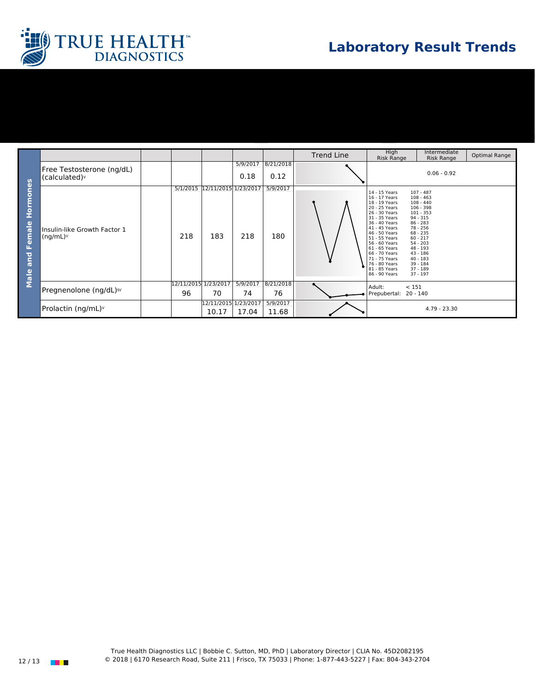

|                                   |                                                        |                            |                                      |                  |                   | <b>Trend Line</b> | High<br><b>Risk Range</b>                                                                                                                                                                                                                                                                     | Intermediate<br><b>Risk Range</b>                                                                                                                                                                                                           | Optimal Range |
|-----------------------------------|--------------------------------------------------------|----------------------------|--------------------------------------|------------------|-------------------|-------------------|-----------------------------------------------------------------------------------------------------------------------------------------------------------------------------------------------------------------------------------------------------------------------------------------------|---------------------------------------------------------------------------------------------------------------------------------------------------------------------------------------------------------------------------------------------|---------------|
| Hormones<br>Female<br>and<br>Male | Free Testosterone (ng/dL)<br>(calculated) <sup>v</sup> |                            |                                      | 5/9/2017<br>0.18 | 8/21/2018<br>0.12 |                   |                                                                                                                                                                                                                                                                                               | $0.06 - 0.92$                                                                                                                                                                                                                               |               |
|                                   | Insulin-like Growth Factor 1<br>$(ng/mL)^{\vee}$       | 218                        | 5/1/2015 12/11/2015 1/23/2017<br>183 | 218              | 5/9/2017<br>180   |                   | 14 - 15 Years<br>16 - 17 Years<br>18 - 19 Years<br>20 - 25 Years<br>26 - 30 Years<br>31 - 35 Years<br>36 - 40 Years<br>41 - 45 Years<br>46 - 50 Years<br>51 - 55 Years<br>56 - 60 Years<br>61 - 65 Years<br>66 - 70 Years<br>71 - 75 Years<br>76 - 80 Years<br>81 - 85 Years<br>86 - 90 Years | $107 - 487$<br>$108 - 463$<br>$108 - 440$<br>$106 - 398$<br>$101 - 353$<br>94 - 315<br>$86 - 283$<br>78 - 256<br>$68 - 235$<br>$60 - 217$<br>$54 - 203$<br>$48 - 193$<br>$43 - 186$<br>$40 - 183$<br>$39 - 184$<br>$37 - 189$<br>$37 - 197$ |               |
|                                   | Pregnenolone (ng/dL) <sup>§</sup>                      | 12/11/2015 1/23/2017<br>96 | 70                                   | 5/9/2017<br>74   | 8/21/2018<br>76   |                   | Adult:<br>Prepubertal:                                                                                                                                                                                                                                                                        | < 151<br>$20 - 140$                                                                                                                                                                                                                         |               |
|                                   | Prolactin (ng/mL) <sup>v</sup>                         |                            | 12/11/2015 1/23/2017<br>10.17        | 17.04            | 5/9/2017<br>11.68 |                   |                                                                                                                                                                                                                                                                                               | 4.79 - 23.30                                                                                                                                                                                                                                |               |